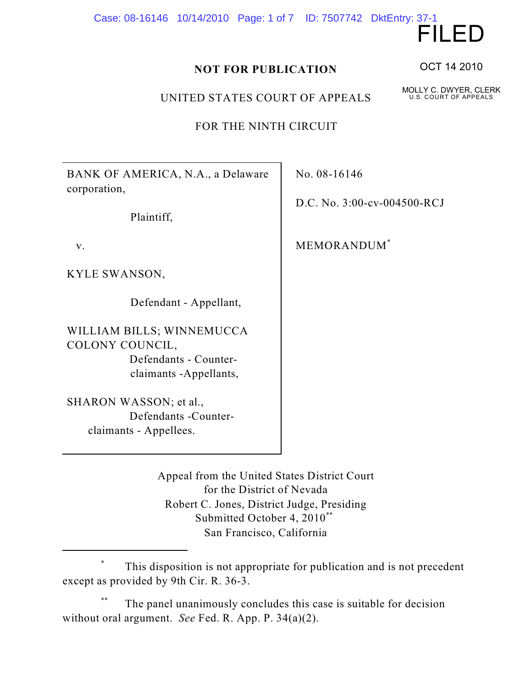Case: 08-16146 10/14/2010 Page: 1 of 7 ID: 7507742 DktEntry: 37-1

## **NOT FOR PUBLICATION**

UNITED STATES COURT OF APPEALS

FOR THE NINTH CIRCUIT

BANK OF AMERICA, N.A., a Delaware corporation,

Plaintiff,

v.

KYLE SWANSON,

Defendant - Appellant,

WILLIAM BILLS; WINNEMUCCA COLONY COUNCIL, Defendants - Counter claimants -Appellants,

SHARON WASSON; et al., Defendants -Counter claimants - Appellees.

No. 08-16146

D.C. No. 3:00-cv-004500-RCJ

MEMORANDUM\*

Appeal from the United States District Court for the District of Nevada Robert C. Jones, District Judge, Presiding Submitted October 4, 2010\*\* San Francisco, California

This disposition is not appropriate for publication and is not precedent \* except as provided by 9th Cir. R. 36-3.

The panel unanimously concludes this case is suitable for decision without oral argument. *See* Fed. R. App. P. 34(a)(2).

OCT 14 2010

FILED

MOLLY C. DWYER, CLERK U.S. COURT OF APPEALS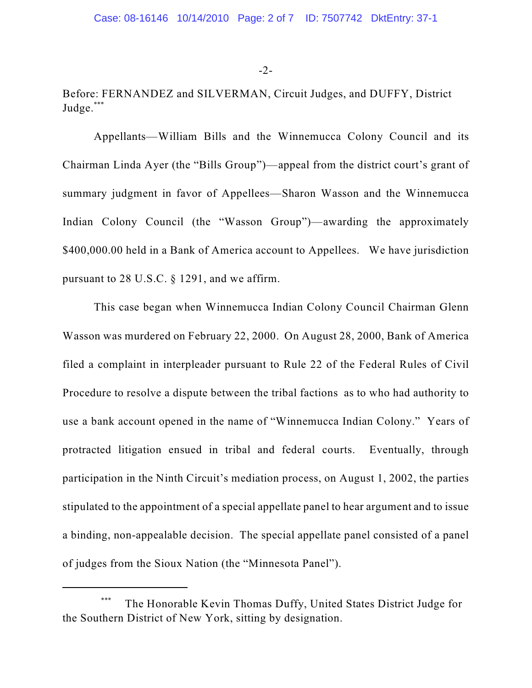## -2-

Before: FERNANDEZ and SILVERMAN, Circuit Judges, and DUFFY, District Judge.\*\*\*

Appellants—William Bills and the Winnemucca Colony Council and its Chairman Linda Ayer (the "Bills Group")—appeal from the district court's grant of summary judgment in favor of Appellees—Sharon Wasson and the Winnemucca Indian Colony Council (the "Wasson Group")—awarding the approximately \$400,000.00 held in a Bank of America account to Appellees. We have jurisdiction pursuant to 28 U.S.C. § 1291, and we affirm.

This case began when Winnemucca Indian Colony Council Chairman Glenn Wasson was murdered on February 22, 2000. On August 28, 2000, Bank of America filed a complaint in interpleader pursuant to Rule 22 of the Federal Rules of Civil Procedure to resolve a dispute between the tribal factions as to who had authority to use a bank account opened in the name of "Winnemucca Indian Colony." Years of protracted litigation ensued in tribal and federal courts. Eventually, through participation in the Ninth Circuit's mediation process, on August 1, 2002, the parties stipulated to the appointment of a special appellate panel to hear argument and to issue a binding, non-appealable decision. The special appellate panel consisted of a panel of judges from the Sioux Nation (the "Minnesota Panel").

The Honorable Kevin Thomas Duffy, United States District Judge for \*\*\* the Southern District of New York, sitting by designation.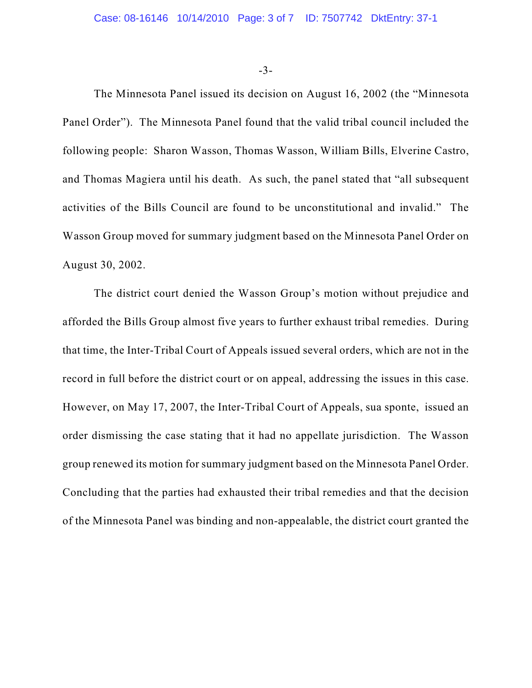-3-

The Minnesota Panel issued its decision on August 16, 2002 (the "Minnesota Panel Order"). The Minnesota Panel found that the valid tribal council included the following people: Sharon Wasson, Thomas Wasson, William Bills, Elverine Castro, and Thomas Magiera until his death. As such, the panel stated that "all subsequent activities of the Bills Council are found to be unconstitutional and invalid." The Wasson Group moved for summary judgment based on the Minnesota Panel Order on August 30, 2002.

The district court denied the Wasson Group's motion without prejudice and afforded the Bills Group almost five years to further exhaust tribal remedies. During that time, the Inter-Tribal Court of Appeals issued several orders, which are not in the record in full before the district court or on appeal, addressing the issues in this case. However, on May 17, 2007, the Inter-Tribal Court of Appeals, sua sponte, issued an order dismissing the case stating that it had no appellate jurisdiction. The Wasson group renewed its motion for summary judgment based on the Minnesota Panel Order. Concluding that the parties had exhausted their tribal remedies and that the decision of the Minnesota Panel was binding and non-appealable, the district court granted the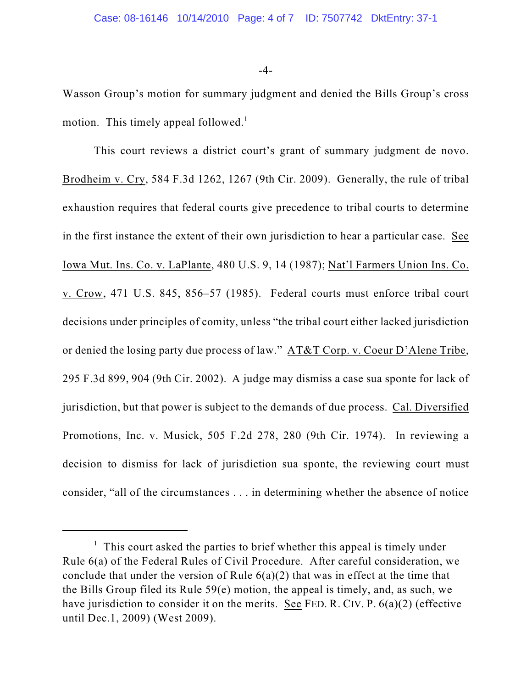-4-

Wasson Group's motion for summary judgment and denied the Bills Group's cross motion. This timely appeal followed.<sup>1</sup>

This court reviews a district court's grant of summary judgment de novo. Brodheim v. Cry, 584 F.3d 1262, 1267 (9th Cir. 2009). Generally, the rule of tribal exhaustion requires that federal courts give precedence to tribal courts to determine in the first instance the extent of their own jurisdiction to hear a particular case. See Iowa Mut. Ins. Co. v. LaPlante, 480 U.S. 9, 14 (1987); Nat'l Farmers Union Ins. Co. v. Crow, 471 U.S. 845, 856–57 (1985). Federal courts must enforce tribal court decisions under principles of comity, unless "the tribal court either lacked jurisdiction or denied the losing party due process of law." AT&T Corp. v. Coeur D'Alene Tribe, 295 F.3d 899, 904 (9th Cir. 2002). A judge may dismiss a case sua sponte for lack of jurisdiction, but that power is subject to the demands of due process. Cal. Diversified Promotions, Inc. v. Musick, 505 F.2d 278, 280 (9th Cir. 1974). In reviewing a decision to dismiss for lack of jurisdiction sua sponte, the reviewing court must consider, "all of the circumstances . . . in determining whether the absence of notice

 $\frac{1}{1}$  This court asked the parties to brief whether this appeal is timely under Rule 6(a) of the Federal Rules of Civil Procedure. After careful consideration, we conclude that under the version of Rule  $6(a)(2)$  that was in effect at the time that the Bills Group filed its Rule 59(e) motion, the appeal is timely, and, as such, we have jurisdiction to consider it on the merits. See FED. R. CIV. P. 6(a)(2) (effective until Dec.1, 2009) (West 2009).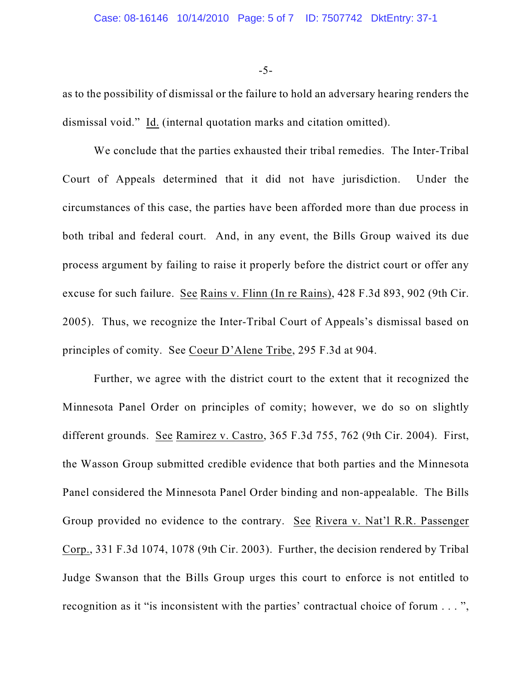-5-

as to the possibility of dismissal or the failure to hold an adversary hearing renders the dismissal void." Id. (internal quotation marks and citation omitted).

We conclude that the parties exhausted their tribal remedies. The Inter-Tribal Court of Appeals determined that it did not have jurisdiction. Under the circumstances of this case, the parties have been afforded more than due process in both tribal and federal court. And, in any event, the Bills Group waived its due process argument by failing to raise it properly before the district court or offer any excuse for such failure. See Rains v. Flinn (In re Rains), 428 F.3d 893, 902 (9th Cir. 2005). Thus, we recognize the Inter-Tribal Court of Appeals's dismissal based on principles of comity. See Coeur D'Alene Tribe, 295 F.3d at 904.

Further, we agree with the district court to the extent that it recognized the Minnesota Panel Order on principles of comity; however, we do so on slightly different grounds. See Ramirez v. Castro, 365 F.3d 755, 762 (9th Cir. 2004). First, the Wasson Group submitted credible evidence that both parties and the Minnesota Panel considered the Minnesota Panel Order binding and non-appealable. The Bills Group provided no evidence to the contrary. See Rivera v. Nat'l R.R. Passenger Corp., 331 F.3d 1074, 1078 (9th Cir. 2003). Further, the decision rendered by Tribal Judge Swanson that the Bills Group urges this court to enforce is not entitled to recognition as it "is inconsistent with the parties' contractual choice of forum . . . ",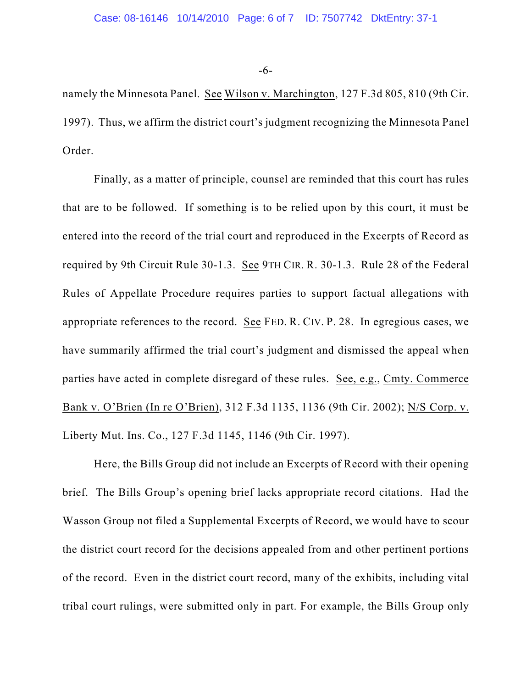-6-

namely the Minnesota Panel. See Wilson v. Marchington, 127 F.3d 805, 810 (9th Cir. 1997). Thus, we affirm the district court's judgment recognizing the Minnesota Panel Order.

Finally, as a matter of principle, counsel are reminded that this court has rules that are to be followed. If something is to be relied upon by this court, it must be entered into the record of the trial court and reproduced in the Excerpts of Record as required by 9th Circuit Rule 30-1.3. See 9TH CIR. R. 30-1.3. Rule 28 of the Federal Rules of Appellate Procedure requires parties to support factual allegations with appropriate references to the record. See FED. R. CIV. P. 28. In egregious cases, we have summarily affirmed the trial court's judgment and dismissed the appeal when parties have acted in complete disregard of these rules. See, e.g., Cmty. Commerce Bank v. O'Brien (In re O'Brien), 312 F.3d 1135, 1136 (9th Cir. 2002); N/S Corp. v. Liberty Mut. Ins. Co., 127 F.3d 1145, 1146 (9th Cir. 1997).

Here, the Bills Group did not include an Excerpts of Record with their opening brief. The Bills Group's opening brief lacks appropriate record citations. Had the Wasson Group not filed a Supplemental Excerpts of Record, we would have to scour the district court record for the decisions appealed from and other pertinent portions of the record. Even in the district court record, many of the exhibits, including vital tribal court rulings, were submitted only in part. For example, the Bills Group only